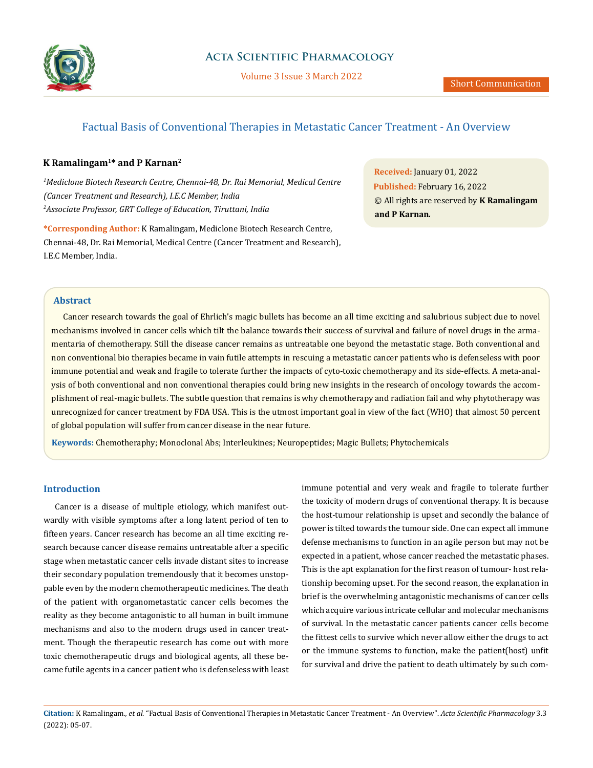

# Factual Basis of Conventional Therapies in Metastatic Cancer Treatment - An Overview

## **K Ramalingam1\* and P Karnan2**

*1 Mediclone Biotech Research Centre, Chennai-48, Dr. Rai Memorial, Medical Centre (Cancer Treatment and Research), I.E.C Member, India 2 Associate Professor, GRT College of Education, Tiruttani, India* 

**\*Corresponding Author:** K Ramalingam, Mediclone Biotech Research Centre, Chennai-48, Dr. Rai Memorial, Medical Centre (Cancer Treatment and Research), I.E.C Member, India.

**Received:** January 01, 2022 **Published:** February 16, 2022 © All rights are reserved by **K Ramalingam and P Karnan***.*

## **Abstract**

Cancer research towards the goal of Ehrlich's magic bullets has become an all time exciting and salubrious subject due to novel mechanisms involved in cancer cells which tilt the balance towards their success of survival and failure of novel drugs in the armamentaria of chemotherapy. Still the disease cancer remains as untreatable one beyond the metastatic stage. Both conventional and non conventional bio therapies became in vain futile attempts in rescuing a metastatic cancer patients who is defenseless with poor immune potential and weak and fragile to tolerate further the impacts of cyto-toxic chemotherapy and its side-effects. A meta-analysis of both conventional and non conventional therapies could bring new insights in the research of oncology towards the accomplishment of real-magic bullets. The subtle question that remains is why chemotherapy and radiation fail and why phytotherapy was unrecognized for cancer treatment by FDA USA. This is the utmost important goal in view of the fact (WHO) that almost 50 percent of global population will suffer from cancer disease in the near future.

**Keywords:** Chemotheraphy; Monoclonal Abs; Interleukines; Neuropeptides; Magic Bullets; Phytochemicals

### **Introduction**

Cancer is a disease of multiple etiology, which manifest outwardly with visible symptoms after a long latent period of ten to fifteen years. Cancer research has become an all time exciting research because cancer disease remains untreatable after a specific stage when metastatic cancer cells invade distant sites to increase their secondary population tremendously that it becomes unstoppable even by the modern chemotherapeutic medicines. The death of the patient with organometastatic cancer cells becomes the reality as they become antagonistic to all human in built immune mechanisms and also to the modern drugs used in cancer treatment. Though the therapeutic research has come out with more toxic chemotherapeutic drugs and biological agents, all these became futile agents in a cancer patient who is defenseless with least immune potential and very weak and fragile to tolerate further the toxicity of modern drugs of conventional therapy. It is because the host-tumour relationship is upset and secondly the balance of power is tilted towards the tumour side. One can expect all immune defense mechanisms to function in an agile person but may not be expected in a patient, whose cancer reached the metastatic phases. This is the apt explanation for the first reason of tumour- host relationship becoming upset. For the second reason, the explanation in brief is the overwhelming antagonistic mechanisms of cancer cells which acquire various intricate cellular and molecular mechanisms of survival. In the metastatic cancer patients cancer cells become the fittest cells to survive which never allow either the drugs to act or the immune systems to function, make the patient(host) unfit for survival and drive the patient to death ultimately by such com-

**Citation:** K Ramalingam*., et al.* "Factual Basis of Conventional Therapies in Metastatic Cancer Treatment - An Overview". *Acta Scientific Pharmacology* 3.3 (2022): 05-07.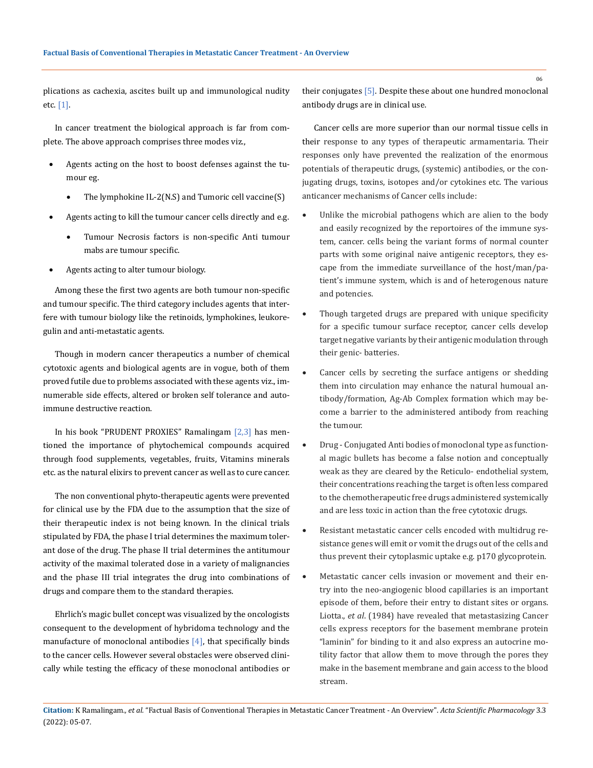plications as cachexia, ascites built up and immunological nudity etc. [1].

In cancer treatment the biological approach is far from complete. The above approach comprises three modes viz.,

- Agents acting on the host to boost defenses against the tumour eg.
	- The lymphokine IL-2(N.S) and Tumoric cell vaccine $(S)$
- Agents acting to kill the tumour cancer cells directly and e.g.
	- Tumour Necrosis factors is non-specific Anti tumour mabs are tumour specific.
- Agents acting to alter tumour biology.

Among these the first two agents are both tumour non-specific and tumour specific. The third category includes agents that interfere with tumour biology like the retinoids, lymphokines, leukoregulin and anti-metastatic agents.

Though in modern cancer therapeutics a number of chemical cytotoxic agents and biological agents are in vogue, both of them proved futile due to problems associated with these agents viz., imnumerable side effects, altered or broken self tolerance and autoimmune destructive reaction.

In his book "PRUDENT PROXIES" Ramalingam [2,3] has mentioned the importance of phytochemical compounds acquired through food supplements, vegetables, fruits, Vitamins minerals etc. as the natural elixirs to prevent cancer as well as to cure cancer.

The non conventional phyto-therapeutic agents were prevented for clinical use by the FDA due to the assumption that the size of their therapeutic index is not being known. In the clinical trials stipulated by FDA, the phase I trial determines the maximum tolerant dose of the drug. The phase II trial determines the antitumour activity of the maximal tolerated dose in a variety of malignancies and the phase III trial integrates the drug into combinations of drugs and compare them to the standard therapies.

Ehrlich's magic bullet concept was visualized by the oncologists consequent to the development of hybridoma technology and the manufacture of monoclonal antibodies  $[4]$ , that specifically binds to the cancer cells. However several obstacles were observed clinically while testing the efficacy of these monoclonal antibodies or their conjugates [5]. Despite these about one hundred monoclonal antibody drugs are in clinical use.

Cancer cells are more superior than our normal tissue cells in their response to any tурes of therapeutic armamentaria. Their responses only have prevented the realization of the enormous potentials of therapeutic drugs, (systemic) antibodies, or the conjugating drugs, toxins, isotopes and/or cytokines etc. The various anticancer mechanisms of Cancer cells include:

- Unlike the microbial pathogens which are alien to the body and easily recognized by the reportoires of the immune system, cancer. cells being the variant forms of normal counter parts with some original naive antigenic receptors, they escape from the immediate surveillance of the host/man/patient's immune system, which is and of heterogenous nature and potencies.
- Though targeted drugs are prepared with unique specificity for a specific tumour surface receptor, cancer cells develop target negative variants by their antigenic modulation through their genic- batteries.
- Cancer cells by secreting the surface antigens or shedding them into circulation may enhance the natural humoual antibody/formation, Ag-Ab Complex formation which may become a barrier to the administered antibody from reaching the tumour.
- Drug Conjugated Anti bodies of monoclonal type as functional magic bullets has become a false notion and conceptually weak as they are cleared by the Reticulo- endothelial system, their concentrations reaching the target is often less compared to the chemotherapeutic free drugs administered systemically and are less toxic in action than the free cytotoxic drugs.
- Resistant metastatic cancer cells encoded with multidrug resistance genes will emit or vomit the drugs out of the cells and thus prevent their cytoplasmic uptake e.g. p170 glycoprotein.
- Metastatic cancer cells invasion or movement and their entry into the neo-angiogenic blood capillaries is an important episode of them, before their entry to distant sites or organs. Liotta., *et al*. (1984) have revealed that metastasizing Cancer cells express receptors for the basement membrane protein "laminin" for binding to it and also express an autocrine motility factor that allow them to move through the pores they make in the basement membrane and gain access to the blood stream.

06

**Citation:** K Ramalingam*., et al.* "Factual Basis of Conventional Therapies in Metastatic Cancer Treatment - An Overview". *Acta Scientific Pharmacology* 3.3 (2022): 05-07.